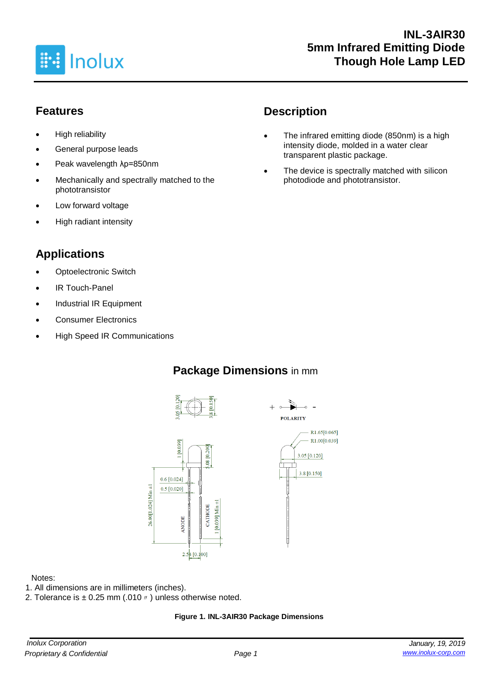

## **Features**

- High reliability
- General purpose leads
- Peak wavelength λp=850nm
- Mechanically and spectrally matched to the phototransistor
- Low forward voltage
- High radiant intensity

# **Applications**

- **Optoelectronic Switch**
- **IR Touch-Panel**
- Industrial IR Equipment
- Consumer Electronics
- High Speed IR Communications

# **Description**

- The infrared emitting diode (850nm) is a high intensity diode, molded in a water clear transparent plastic package.
- The device is spectrally matched with silicon photodiode and phototransistor.

# **Package Dimensions** in mm





#### Notes:

- 1. All dimensions are in millimeters (inches).
- 2. Tolerance is  $\pm$  0.25 mm (.010  $\prime\prime$  ) unless otherwise noted.

#### **Figure 1. INL-3AIR30 Package Dimensions**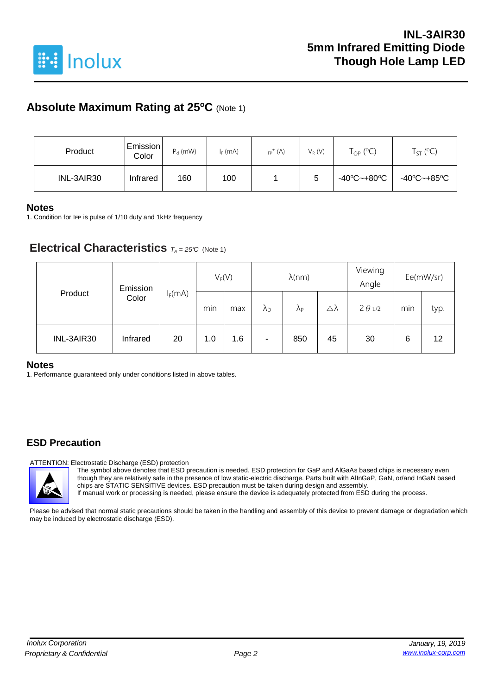

## **Absolute Maximum Rating at 25<sup>o</sup>C** (Note 1)

| Product    | Emission<br>Color | $P_d$ (mW) | $I_F$ (mA) | $I_{FP}^*(A)$ | $V_R(V)$ | $\Gamma_{\text{OP}}$ (°C) | $T_{ST}$ (°C) |
|------------|-------------------|------------|------------|---------------|----------|---------------------------|---------------|
| INL-3AIR30 | Infrared          | 160        | 100        |               | 5        | -40°C~+80°C               | -40°C~+85°C   |

#### **Notes**

1. Condition for IFP is pulse of 1/10 duty and 1kHz frequency

### **Electrical Characteristics**  $T_A = 25^\circ C$  (Note 1)

| Product    | Emission |           | $V_F(V)$ |     | $\lambda$ (nm)       |                   |    | Viewing<br>Angle | Ee(mW/sr) |      |
|------------|----------|-----------|----------|-----|----------------------|-------------------|----|------------------|-----------|------|
|            | Color    | $I_F(mA)$ | min      | max | $\lambda_{\text{D}}$ | $\lambda_{\rm P}$ | Δλ | $2 \theta 1/2$   | min<br>6  | typ. |
| INL-3AIR30 | Infrared | 20        | 1.0      | 1.6 | ۰                    | 850               | 45 | 30               |           | 12   |

#### **Notes**

1. Performance guaranteed only under conditions listed in above tables.

### **ESD Precaution**

ATTENTION: Electrostatic Discharge (ESD) protection

The symbol above denotes that ESD precaution is needed. ESD protection for GaP and AlGaAs based chips is necessary even though they are relatively safe in the presence of low static-electric discharge. Parts built with AlInGaP, GaN, or/and InGaN based chips are STATIC SENSITIVE devices. ESD precaution must be taken during design and assembly. If manual work or processing is needed, please ensure the device is adequately protected from ESD during the process.

Please be advised that normal static precautions should be taken in the handling and assembly of this device to prevent damage or degradation which may be induced by electrostatic discharge (ESD).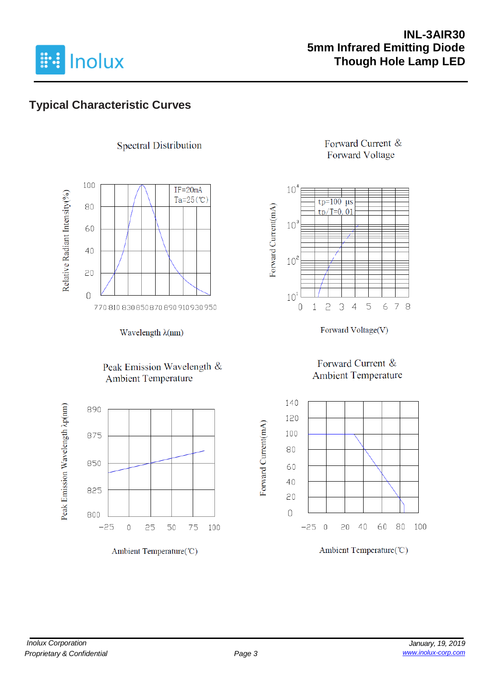

## **INL-3AIR30 5mm Infrared Emitting Diode Though Hole Lamp LED**

# **Typical Characteristic Curves**



**Spectral Distribution** 



#### Peak Emission Wavelength & **Ambient Temperature**



Ambient Temperature(°C)

#### Forward Current & **Forward Voltage**



Forward Voltage(V)

### Forward Current & **Ambient Temperature**

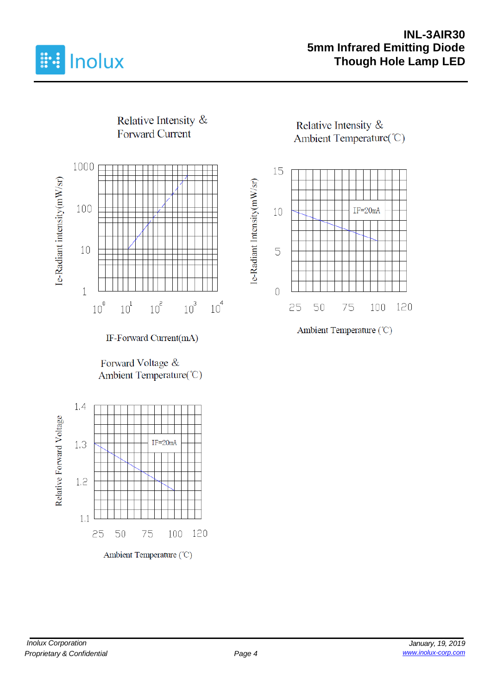

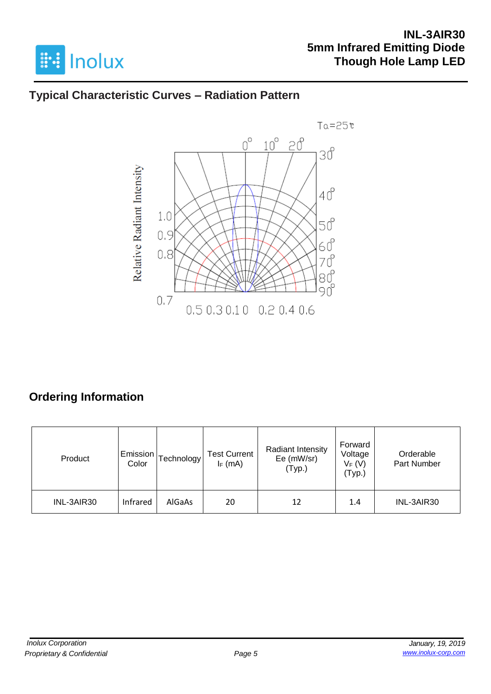

# **Typical Characteristic Curves – Radiation Pattern**



# **Ordering Information**

| Product    | Emission<br>Color | <b>Technology</b> | <b>Test Current</b><br>$I_F$ (mA) | Radiant Intensity<br>Ee (mW/sr)<br>(Typ.) | Forward<br>Voltage<br>$V_F(V)$<br>(Typ.) | Orderable<br>Part Number |
|------------|-------------------|-------------------|-----------------------------------|-------------------------------------------|------------------------------------------|--------------------------|
| INL-3AIR30 | Infrared          | AlGaAs            | 20                                | 12                                        | 1.4                                      | INL-3AIR30               |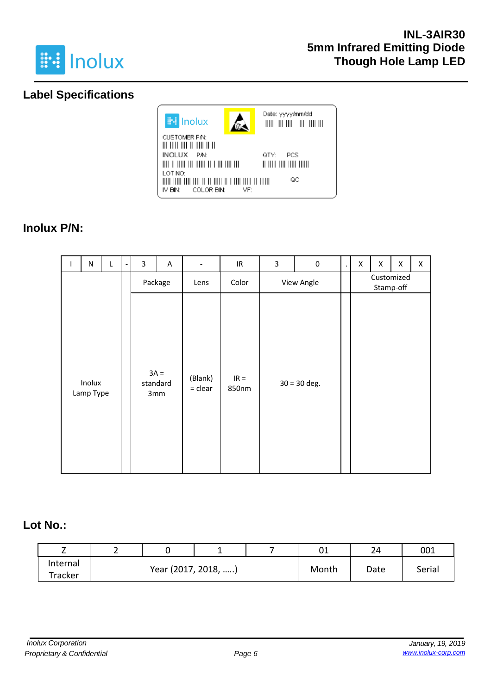

# **Label Specifications**



# **Inolux P/N:**

| L | $\mathsf{N}$        | L       |  | 3      | A               | $\overline{\phantom{a}}$ | $\ensuremath{\mathsf{IR}}\xspace$ | 3 | $\pmb{0}$      | $\blacksquare$ | Χ          | Χ | Χ | $\pmb{\times}$ |
|---|---------------------|---------|--|--------|-----------------|--------------------------|-----------------------------------|---|----------------|----------------|------------|---|---|----------------|
|   |                     | Package |  | Lens   | Color           |                          | View Angle                        |   |                | Stamp-off      | Customized |   |   |                |
|   | Inolux<br>Lamp Type |         |  | $3A =$ | standard<br>3mm | (Blank)<br>$=$ clear     | $IR =$<br>850nm                   |   | $30 = 30$ deg. |                |            |   |   |                |

### **Lot No.:**

| -        | - |                     |  |       | 01   | 24     | 001 |
|----------|---|---------------------|--|-------|------|--------|-----|
| Internal |   |                     |  |       |      |        |     |
| Tracker  |   | Year (2017, 2018, ) |  | Month | Date | Serial |     |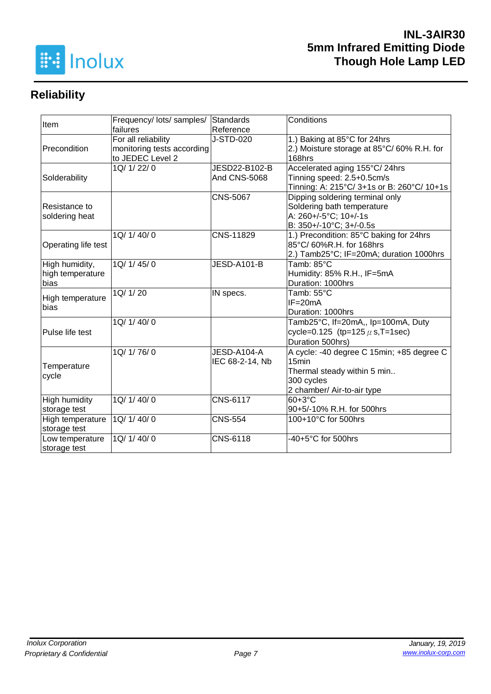

# **Reliability**

| Item                 | Frequency/ lots/ samples/  | Standards           | Conditions                                 |  |  |
|----------------------|----------------------------|---------------------|--------------------------------------------|--|--|
|                      | failures                   | Reference           |                                            |  |  |
|                      | For all reliability        | J-STD-020           | 1.) Baking at 85°C for 24hrs               |  |  |
| Precondition         | monitoring tests according |                     | 2.) Moisture storage at 85°C/60% R.H. for  |  |  |
|                      | to JEDEC Level 2           |                     | 168hrs                                     |  |  |
|                      | 1Q/ 1/ 22/ 0               | JESD22-B102-B       | Accelerated aging 155°C/24hrs              |  |  |
| Solderability        |                            | <b>And CNS-5068</b> | Tinning speed: 2.5+0.5cm/s                 |  |  |
|                      |                            |                     | Tinning: A: 215°C/ 3+1s or B: 260°C/ 10+1s |  |  |
|                      |                            | <b>CNS-5067</b>     | Dipping soldering terminal only            |  |  |
| Resistance to        |                            |                     | Soldering bath temperature                 |  |  |
| soldering heat       |                            |                     | A: 260+/-5°C; 10+/-1s                      |  |  |
|                      |                            |                     | B: 350+/-10°C; 3+/-0.5s                    |  |  |
|                      | 1Q/ 1/ 40/ 0               | CNS-11829           | 1.) Precondition: 85°C baking for 24hrs    |  |  |
| Operating life test  |                            |                     | 85°C/ 60%R.H. for 168hrs                   |  |  |
|                      |                            |                     | 2.) Tamb25°C; IF=20mA; duration 1000hrs    |  |  |
| High humidity,       | 1Q/1/45/0                  | JESD-A101-B         | Tamb: 85°C                                 |  |  |
| high temperature     |                            |                     | Humidity: 85% R.H., IF=5mA                 |  |  |
| bias                 |                            |                     | Duration: 1000hrs                          |  |  |
| High temperature     | 1Q/ 1/ 20                  | IN specs.           | Tamb: 55°C                                 |  |  |
| bias                 |                            |                     | $IF = 20mA$                                |  |  |
|                      |                            |                     | Duration: 1000hrs                          |  |  |
|                      | 1Q/1/40/0                  |                     | Tamb25°C, If=20mA,, Ip=100mA, Duty         |  |  |
| Pulse life test      |                            |                     | cycle=0.125 (tp=125 $\mu$ s, T=1sec)       |  |  |
|                      |                            |                     | Duration 500hrs)                           |  |  |
|                      | 1Q/ 1/ 76/ 0               | JESD-A104-A         | A cycle: -40 degree C 15min; +85 degree C  |  |  |
| Temperature          |                            | IEC 68-2-14, Nb     | 15 <sub>min</sub>                          |  |  |
|                      |                            |                     | Thermal steady within 5 min                |  |  |
| cycle                |                            |                     | 300 cycles                                 |  |  |
|                      |                            |                     | 2 chamber/ Air-to-air type                 |  |  |
| <b>High humidity</b> | 1Q/ 1/ 40/ 0               | <b>CNS-6117</b>     | $60+3°C$                                   |  |  |
| storage test         |                            |                     | 90+5/-10% R.H. for 500hrs                  |  |  |
| High temperature     | 1Q/ 1/ 40/ 0               | <b>CNS-554</b>      | 100+10°C for 500hrs                        |  |  |
| storage test         |                            |                     |                                            |  |  |
| Low temperature      | 1Q/ 1/ 40/ 0               | CNS-6118            | -40+5°C for 500hrs                         |  |  |
| storage test         |                            |                     |                                            |  |  |